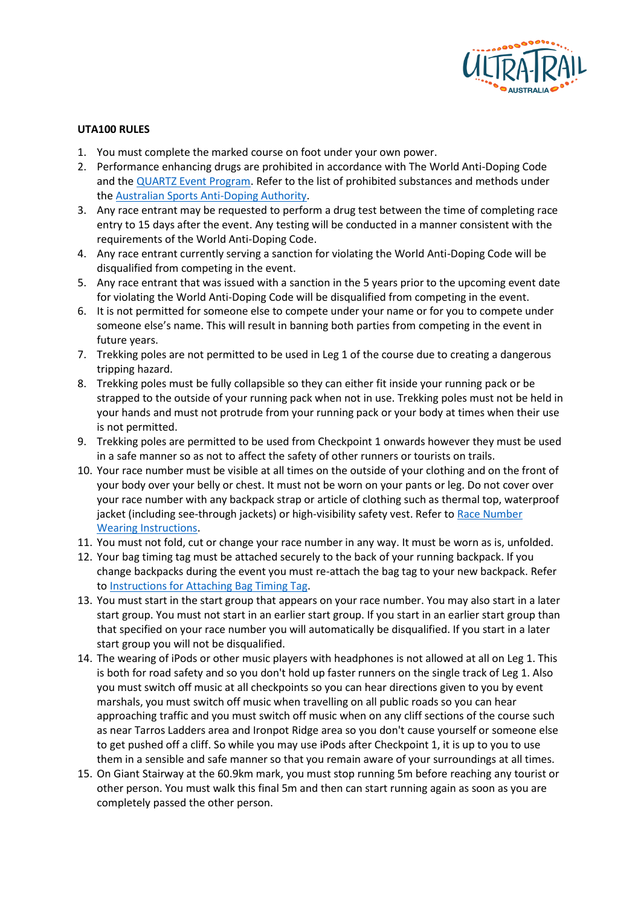

## **UTA100 RULES**

- 1. You must complete the marked course on foot under your own power.
- 2. Performance enhancing drugs are prohibited in accordance with The World Anti-Doping Code and th[e QUARTZ Event Program.](/assets/Uploads/AthleteServicesPDF/QUARTZ-Event-Program.pdf) Refer to the list of prohibited substances and methods under th[e Australian Sports Anti-Doping Authority.](https://www.asada.gov.au/substances/prohibited-substances-and-methods)
- 3. Any race entrant may be requested to perform a drug test between the time of completing race entry to 15 days after the event. Any testing will be conducted in a manner consistent with the requirements of the World Anti-Doping Code.
- 4. Any race entrant currently serving a sanction for violating the World Anti-Doping Code will be disqualified from competing in the event.
- 5. Any race entrant that was issued with a sanction in the 5 years prior to the upcoming event date for violating the World Anti-Doping Code will be disqualified from competing in the event.
- 6. It is not permitted for someone else to compete under your name or for you to compete under someone else's name. This will result in banning both parties from competing in the event in future years.
- 7. Trekking poles are not permitted to be used in Leg 1 of the course due to creating a dangerous tripping hazard.
- 8. Trekking poles must be fully collapsible so they can either fit inside your running pack or be strapped to the outside of your running pack when not in use. Trekking poles must not be held in your hands and must not protrude from your running pack or your body at times when their use is not permitted.
- 9. Trekking poles are permitted to be used from Checkpoint 1 onwards however they must be used in a safe manner so as not to affect the safety of other runners or tourists on trails.
- 10. Your race number must be visible at all times on the outside of your clothing and on the front of your body over your belly or chest. It must not be worn on your pants or leg. Do not cover over your race number with any backpack strap or article of clothing such as thermal top, waterproof jacket (including see-through jackets) or high-visibility safety vest. Refer to Race Number [Wearing Instructions.](/assets/Uploads/AthleteServicesPDF/race-number-wearing-instructions.jpg)
- 11. You must not fold, cut or change your race number in any way. It must be worn as is, unfolded.
- 12. Your bag timing tag must be attached securely to the back of your running backpack. If you change backpacks during the event you must re-attach the bag tag to your new backpack. Refer to [Instructions for Attaching Bag Timing Tag.](/assets/Uploads/AthleteServicesPDF/Instructions-for-attaching-bag-timing-tag.jpg)
- 13. You must start in the start group that appears on your race number. You may also start in a later start group. You must not start in an earlier start group. If you start in an earlier start group than that specified on your race number you will automatically be disqualified. If you start in a later start group you will not be disqualified.
- 14. The wearing of iPods or other music players with headphones is not allowed at all on Leg 1. This is both for road safety and so you don't hold up faster runners on the single track of Leg 1. Also you must switch off music at all checkpoints so you can hear directions given to you by event marshals, you must switch off music when travelling on all public roads so you can hear approaching traffic and you must switch off music when on any cliff sections of the course such as near Tarros Ladders area and Ironpot Ridge area so you don't cause yourself or someone else to get pushed off a cliff. So while you may use iPods after Checkpoint 1, it is up to you to use them in a sensible and safe manner so that you remain aware of your surroundings at all times.
- 15. On Giant Stairway at the 60.9km mark, you must stop running 5m before reaching any tourist or other person. You must walk this final 5m and then can start running again as soon as you are completely passed the other person.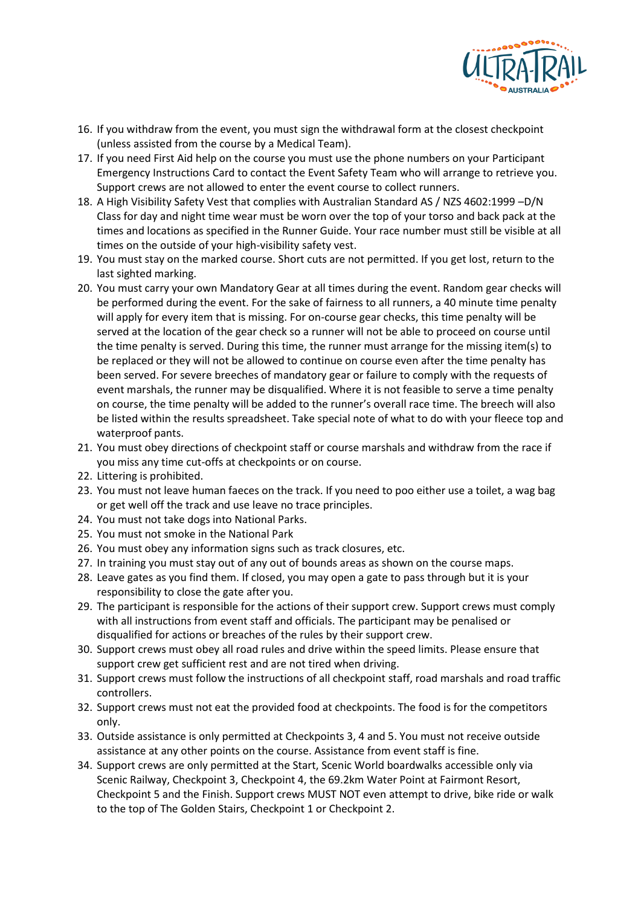

- 16. If you withdraw from the event, you must sign the withdrawal form at the closest checkpoint (unless assisted from the course by a Medical Team).
- 17. If you need First Aid help on the course you must use the phone numbers on your Participant Emergency Instructions Card to contact the Event Safety Team who will arrange to retrieve you. Support crews are not allowed to enter the event course to collect runners.
- 18. A High Visibility Safety Vest that complies with Australian Standard AS / NZS 4602:1999 –D/N Class for day and night time wear must be worn over the top of your torso and back pack at the times and locations as specified in the Runner Guide. Your race number must still be visible at all times on the outside of your high-visibility safety vest.
- 19. You must stay on the marked course. Short cuts are not permitted. If you get lost, return to the last sighted marking.
- 20. You must carry your own Mandatory Gear at all times during the event. Random gear checks will be performed during the event. For the sake of fairness to all runners, a 40 minute time penalty will apply for every item that is missing. For on-course gear checks, this time penalty will be served at the location of the gear check so a runner will not be able to proceed on course until the time penalty is served. During this time, the runner must arrange for the missing item(s) to be replaced or they will not be allowed to continue on course even after the time penalty has been served. For severe breeches of mandatory gear or failure to comply with the requests of event marshals, the runner may be disqualified. Where it is not feasible to serve a time penalty on course, the time penalty will be added to the runner's overall race time. The breech will also be listed within the results spreadsheet. Take special note of what to do with your fleece top and waterproof pants.
- 21. You must obey directions of checkpoint staff or course marshals and withdraw from the race if you miss any time cut-offs at checkpoints or on course.
- 22. Littering is prohibited.
- 23. You must not leave human faeces on the track. If you need to poo either use a toilet, a wag bag or get well off the track and use leave no trace principles.
- 24. You must not take dogs into National Parks.
- 25. You must not smoke in the National Park
- 26. You must obey any information signs such as track closures, etc.
- 27. In training you must stay out of any out of bounds areas as shown on the course maps.
- 28. Leave gates as you find them. If closed, you may open a gate to pass through but it is your responsibility to close the gate after you.
- 29. The participant is responsible for the actions of their support crew. Support crews must comply with all instructions from event staff and officials. The participant may be penalised or disqualified for actions or breaches of the rules by their support crew.
- 30. Support crews must obey all road rules and drive within the speed limits. Please ensure that support crew get sufficient rest and are not tired when driving.
- 31. Support crews must follow the instructions of all checkpoint staff, road marshals and road traffic controllers.
- 32. Support crews must not eat the provided food at checkpoints. The food is for the competitors only.
- 33. Outside assistance is only permitted at Checkpoints 3, 4 and 5. You must not receive outside assistance at any other points on the course. Assistance from event staff is fine.
- 34. Support crews are only permitted at the Start, Scenic World boardwalks accessible only via Scenic Railway, Checkpoint 3, Checkpoint 4, the 69.2km Water Point at Fairmont Resort, Checkpoint 5 and the Finish. Support crews MUST NOT even attempt to drive, bike ride or walk to the top of The Golden Stairs, Checkpoint 1 or Checkpoint 2.